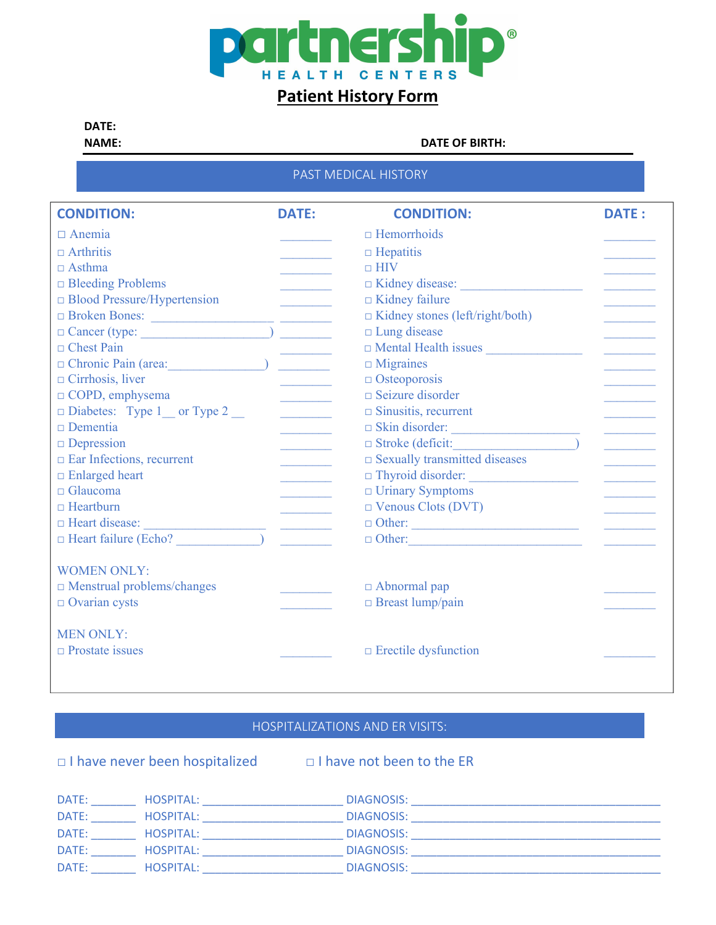

## **Patient History Form**

### **DATE:**

**NAME: DATE OF BIRTH:**

### PAST MEDICAL HISTORY

| <b>CONDITION:</b>                                                                                                                             | <b>DATE:</b> | <b>CONDITION:</b>                       | <b>DATE:</b> |
|-----------------------------------------------------------------------------------------------------------------------------------------------|--------------|-----------------------------------------|--------------|
| $\Box$ Anemia                                                                                                                                 |              | $\Box$ Hemorrhoids                      |              |
| $\Box$ Arthritis                                                                                                                              |              | $\Box$ Hepatitis                        |              |
| $\Box$ Asthma                                                                                                                                 |              | $\Box$ HIV                              |              |
| $\Box$ Bleeding Problems                                                                                                                      |              |                                         |              |
| □ Blood Pressure/Hypertension                                                                                                                 |              | $\Box$ Kidney failure                   |              |
| □ Broken Bones: <u>_________________________</u> ________                                                                                     |              | □ Kidney stones (left/right/both)       |              |
|                                                                                                                                               |              | $\Box$ Lung disease                     |              |
| $\Box$ Chest Pain                                                                                                                             |              |                                         |              |
| $\Box$ Chronic Pain (area:                                                                                                                    |              | $\Box$ Migraines                        |              |
| $\Box$ Cirrhosis, liver                                                                                                                       |              | $\Box$ Osteoporosis                     |              |
| $\Box$ COPD, emphysema                                                                                                                        |              | $\Box$ Seizure disorder                 |              |
| $\Box$ Diabetes: Type 1 __ or Type 2 __                                                                                                       |              | $\Box$ Sinusitis, recurrent             |              |
| $\Box$ Dementia                                                                                                                               |              | Skin disorder:                          |              |
| $\Box$ Depression                                                                                                                             |              | $\Box$ Stroke (deficit:                 |              |
| $\Box$ Ear Infections, recurrent                                                                                                              |              | $\square$ Sexually transmitted diseases |              |
| $\Box$ Enlarged heart                                                                                                                         |              |                                         |              |
| $\Box$ Glaucoma                                                                                                                               |              | $\Box$ Urinary Symptoms                 |              |
| $\Box$ Heartburn                                                                                                                              |              | $\Box$ Venous Clots (DVT)               |              |
| $\Box$ Heart disease:<br><u> 1989 - Johann Barn, mars eta bainar eta bainar eta baina eta baina eta baina eta baina eta baina eta baina e</u> |              |                                         |              |
| $\Box$ Heart failure (Echo?)                                                                                                                  |              |                                         |              |
| <b>WOMEN ONLY:</b>                                                                                                                            |              |                                         |              |
| $\Box$ Menstrual problems/changes                                                                                                             |              | $\Box$ Abnormal pap                     |              |
| $\Box$ Ovarian cysts                                                                                                                          |              | $\Box$ Breast lump/pain                 |              |
| <b>MEN ONLY:</b>                                                                                                                              |              |                                         |              |
| $\Box$ Prostate issues                                                                                                                        |              | $\Box$ Erectile dysfunction             |              |
|                                                                                                                                               |              |                                         |              |

### HOSPITALIZATIONS AND ER VISITS:

□ I have never been hospitalized □ I have not been to the ER

| DATE: | HOSPITAL: | DIAGNOSIS: |
|-------|-----------|------------|
| DATE: | HOSPITAL: | DIAGNOSIS: |
| DATE: | HOSPITAL: | DIAGNOSIS: |
| DATE: | HOSPITAL: | DIAGNOSIS: |
| DATE: | HOSPITAL: | DIAGNOSIS: |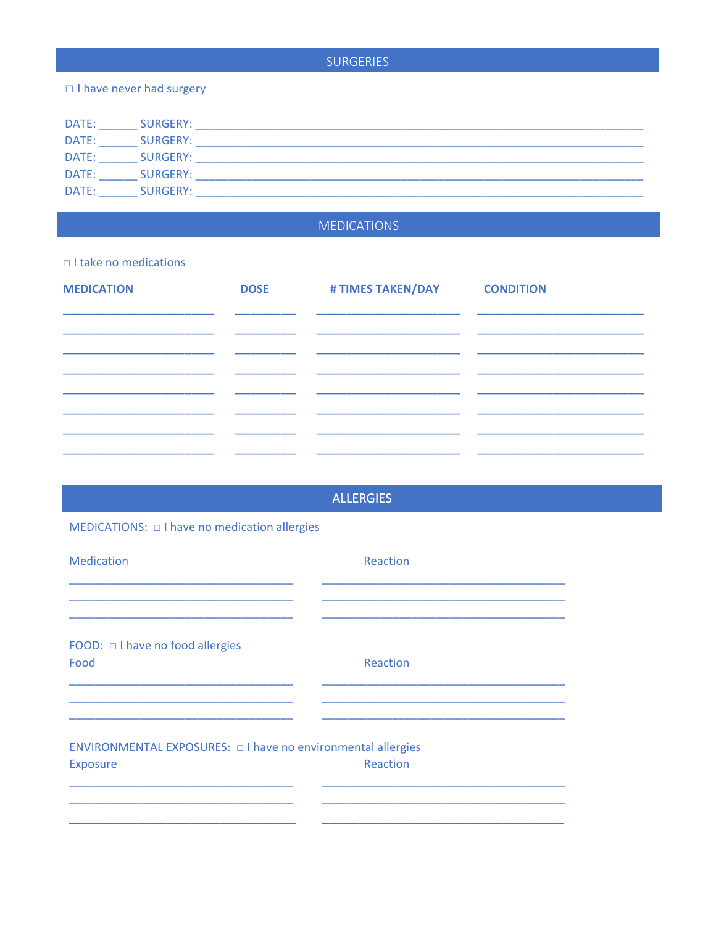### **SURGERIES**

### □ I have never had surgery

| DATE: | SURGERY: |  |
|-------|----------|--|
| DATE: | SURGERY: |  |
| DATE: | SURGERY: |  |
| DATE: | SURGERY: |  |
| DATE: | SURGERY: |  |

### **MEDICATIONS**

### $\Box$  I take no medications

| <b>MEDICATION</b>                                                                                                                                                                                                                    | <b>DOSE</b> | # TIMES TAKEN/DAY                            | <b>CONDITION</b> |
|--------------------------------------------------------------------------------------------------------------------------------------------------------------------------------------------------------------------------------------|-------------|----------------------------------------------|------------------|
|                                                                                                                                                                                                                                      |             |                                              |                  |
|                                                                                                                                                                                                                                      |             |                                              |                  |
|                                                                                                                                                                                                                                      |             | <u> 1989 - Johann John Harry Stone Barns</u> |                  |
| <u> 1980 - Johann Harry Harry Harry Harry Harry Harry Harry Harry Harry Harry Harry Harry Harry Harry Harry Harry Harry Harry Harry Harry Harry Harry Harry Harry Harry Harry Harry Harry Harry Harry Harry Harry Harry Harry Ha</u> |             |                                              |                  |
|                                                                                                                                                                                                                                      |             |                                              |                  |
|                                                                                                                                                                                                                                      |             |                                              |                  |
|                                                                                                                                                                                                                                      |             |                                              |                  |

# **ALLERGIES** MEDICATIONS:  $\Box$  I have no medication allergies Medication Reaction  $\overline{\phantom{a}}$ FOOD:  $\Box$  I have no food allergies Food Reaction ENVIRONMENTAL EXPOSURES: 0 I have no environmental allergies Reaction Exposure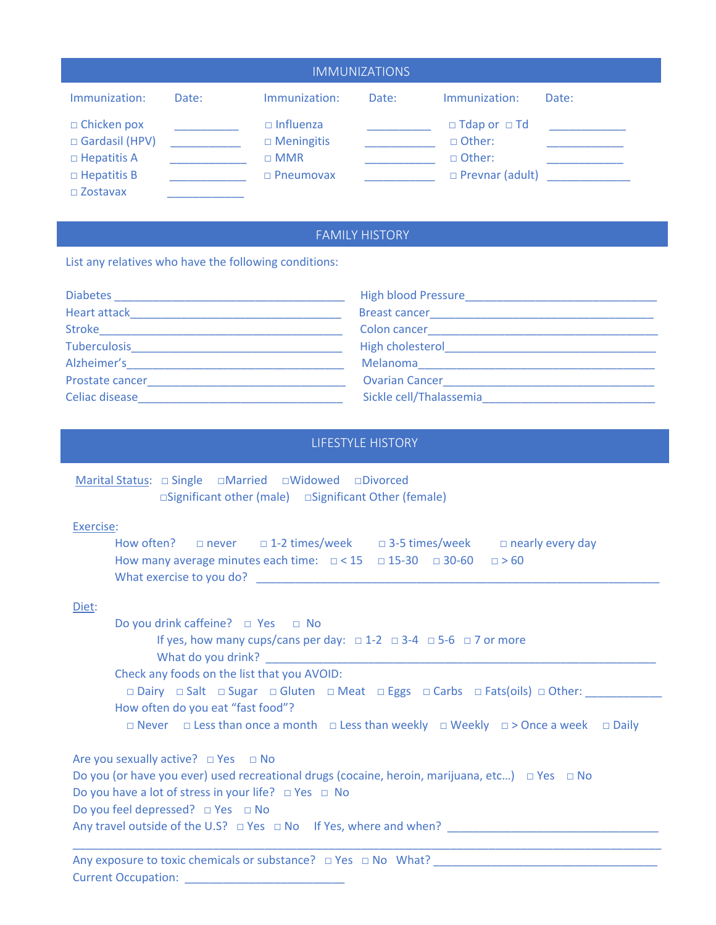| <b>IMMUNIZATIONS</b>                                                               |       |                                                                         |       |                                                                                 |       |
|------------------------------------------------------------------------------------|-------|-------------------------------------------------------------------------|-------|---------------------------------------------------------------------------------|-------|
| Immunization:                                                                      | Date: | Immunization:                                                           | Date: | Immunization:                                                                   | Date: |
| $\Box$ Chicken pox<br>□ Gardasil (HPV)<br>$\Box$ Hepatitis A<br>$\Box$ Hepatitis B |       | $\Box$ Influenza<br>$\Box$ Meningitis<br>$\Box$ MMR<br>$\Box$ Pneumovax |       | $\Box$ Tdap or $\Box$ Td<br>□ Other:<br>$\Box$ Other:<br>$\Box$ Prevnar (adult) |       |
| $\square$ Zostavax                                                                 |       |                                                                         |       |                                                                                 |       |

### FAMILY HISTORY

List any relatives who have the following conditions:

| <b>Diabetes</b>     | <b>High blood Pressure</b> |
|---------------------|----------------------------|
| <b>Heart attack</b> | <b>Breast cancer</b>       |
| <b>Stroke</b>       | Colon cancer               |
| <b>Tuberculosis</b> | High cholesterol           |
| Alzheimer's         | Melanoma                   |
| Prostate cancer     | <b>Ovarian Cancer</b>      |
| Celiac disease      | Sickle cell/Thalassemia    |

### LIFESTYLE HISTORY

Marital Status: □ Single □Married □Widowed □Divorced □Significant other (male) □Significant Other (female)

### Exercise:

|                                                                                       |  |  | How often? $\Box$ never $\Box$ 1-2 times/week $\Box$ 3-5 times/week $\Box$ nearly every day |  |
|---------------------------------------------------------------------------------------|--|--|---------------------------------------------------------------------------------------------|--|
| How many average minutes each time: $\Box$ < 15 $\Box$ 15-30 $\Box$ 30-60 $\Box$ > 60 |  |  |                                                                                             |  |
| What exercise to you do?                                                              |  |  |                                                                                             |  |

### Diet:

Do you drink caffeine? □ Yes □ No If yes, how many cups/cans per day:  $\Box$  1-2  $\Box$  3-4  $\Box$  5-6  $\Box$  7 or more What do you drink? Check any foods on the list that you AVOID: □ Dairy □ Salt □ Sugar □ Gluten □ Meat □ Eggs □ Carbs □ Fats(oils) □ Other: \_\_\_\_\_\_\_\_\_\_\_\_ How often do you eat "fast food"? □ Never □ Less than once a month □ Less than weekly □ Weekly □ > Once a week □ Daily Are you sexually active?  $\Box$  Yes  $\Box$  No Do you (or have you ever) used recreational drugs (cocaine, heroin, marijuana, etc...) □ Yes □ No

\_\_\_\_\_\_\_\_\_\_\_\_\_\_\_\_\_\_\_\_\_\_\_\_\_\_\_\_\_\_\_\_\_\_\_\_\_\_\_\_\_\_\_\_\_\_\_\_\_\_\_\_\_\_\_\_\_\_\_\_\_\_\_\_\_\_\_\_\_\_\_\_\_\_\_\_\_\_\_\_\_\_\_\_\_\_\_\_\_\_\_\_

Do you have a lot of stress in your life? □ Yes □ No

Do you feel depressed? □ Yes □ No

Any travel outside of the U.S? □ Yes □ No If Yes, where and when? \_\_\_\_\_\_\_\_\_\_\_\_\_\_\_\_\_\_\_\_\_\_\_\_\_\_\_\_\_\_\_\_\_\_

Any exposure to toxic chemicals or substance? □ Yes □ No What? \_\_ Current Occupation: